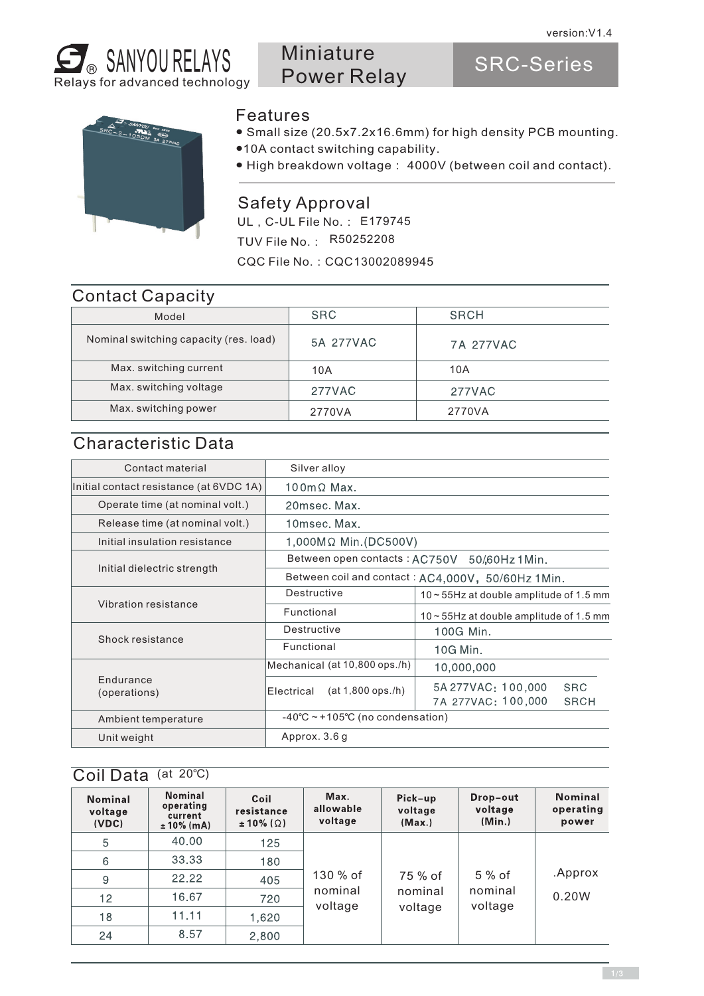

# Miniature Power Relay

SRC-Series



#### **Features**

- Small size (20.5x7.2x16.6mm) for high density PCB mounting.
- ●10A contact switching capability.
- High breakdown voltage: 4000V (between coil and contact).

#### Safety Approval

UL, C-UL File No.: E179745 TUV File No.: R50252208 CQC File No.:CQC13002089945

#### Contact Capacity

| Model                                  | <b>SRC</b> | <b>SRCH</b> |
|----------------------------------------|------------|-------------|
| Nominal switching capacity (res. load) | 5A 277VAC  | 7A 277VAC   |
| Max. switching current                 | 10A        | 10A         |
| Max. switching voltage                 | 277VAC     | 277VAC      |
| Max. switching power                   | 2770VA     | 2770VA      |
|                                        |            |             |

### Characteristic Data

| Contact material                        | Silver alloy                                      |                                                                       |  |  |  |
|-----------------------------------------|---------------------------------------------------|-----------------------------------------------------------------------|--|--|--|
| Initial contact resistance (at 6VDC 1A) | $100 \text{m} \Omega$ Max.                        |                                                                       |  |  |  |
| Operate time (at nominal volt.)         | 20msec. Max.                                      |                                                                       |  |  |  |
| Release time (at nominal volt.)         | 10msec. Max.                                      |                                                                       |  |  |  |
| Initial insulation resistance           | 1,000MΩ Min.(DC500V)                              |                                                                       |  |  |  |
|                                         | Between open contacts: AC750V 50/60Hz 1Min.       |                                                                       |  |  |  |
| Initial dielectric strength             | Between coil and contact: AC4,000V, 50/60Hz 1Min. |                                                                       |  |  |  |
| Vibration resistance                    | Destructive                                       | $10 \sim 55$ Hz at double amplitude of 1.5 mm                         |  |  |  |
|                                         | Functional                                        | $10 - 55$ Hz at double amplitude of 1.5 mm                            |  |  |  |
|                                         | Destructive                                       | 100G Min.                                                             |  |  |  |
| Shock resistance                        | Functional                                        | 10G Min.                                                              |  |  |  |
| Endurance<br>(operations)               | Mechanical (at 10,800 ops./h)                     | 10,000,000                                                            |  |  |  |
|                                         | $(at 1,800$ ops./h)<br>Electrical                 | 5A 277VAC: 100,000<br><b>SRC</b><br>7A 277VAC: 100,000<br><b>SRCH</b> |  |  |  |
| Ambient temperature                     | $-40^{\circ}$ C ~ +105°C (no condensation)        |                                                                       |  |  |  |
| Unit weight                             | Approx. 3.6 g                                     |                                                                       |  |  |  |
|                                         |                                                   |                                                                       |  |  |  |

#### Coil Data (at 20℃)

| <b>Nominal</b><br>voltage<br>(VDC) | <b>Nominal</b><br>operating<br>current<br>$± 10\% (mA)$ | Coil<br>resistance<br>$\pm 10\%$ ( $\Omega$ ) | Max.<br>allowable<br>voltage   | Pick-up<br>voltage<br>(Max.) | Drop-out<br>voltage<br>(Min.) | <b>Nominal</b><br>operating<br>power |       |
|------------------------------------|---------------------------------------------------------|-----------------------------------------------|--------------------------------|------------------------------|-------------------------------|--------------------------------------|-------|
| 5                                  | 40.00                                                   | 125                                           |                                |                              |                               |                                      |       |
| 6                                  | 33.33                                                   | 180                                           | 130 % of<br>nominal<br>voltage |                              |                               | .Approx                              |       |
| 9                                  | 22.22                                                   | 405                                           |                                | 75 % of                      | 5 % of                        |                                      |       |
| 12                                 | 16.67                                                   | 720                                           |                                |                              | nominal                       | nominal                              | 0.20W |
| 18                                 | 11.11                                                   | 1,620                                         |                                | voltage                      | voltage                       |                                      |       |
| 24                                 | 8.57                                                    | 2,800                                         |                                |                              |                               |                                      |       |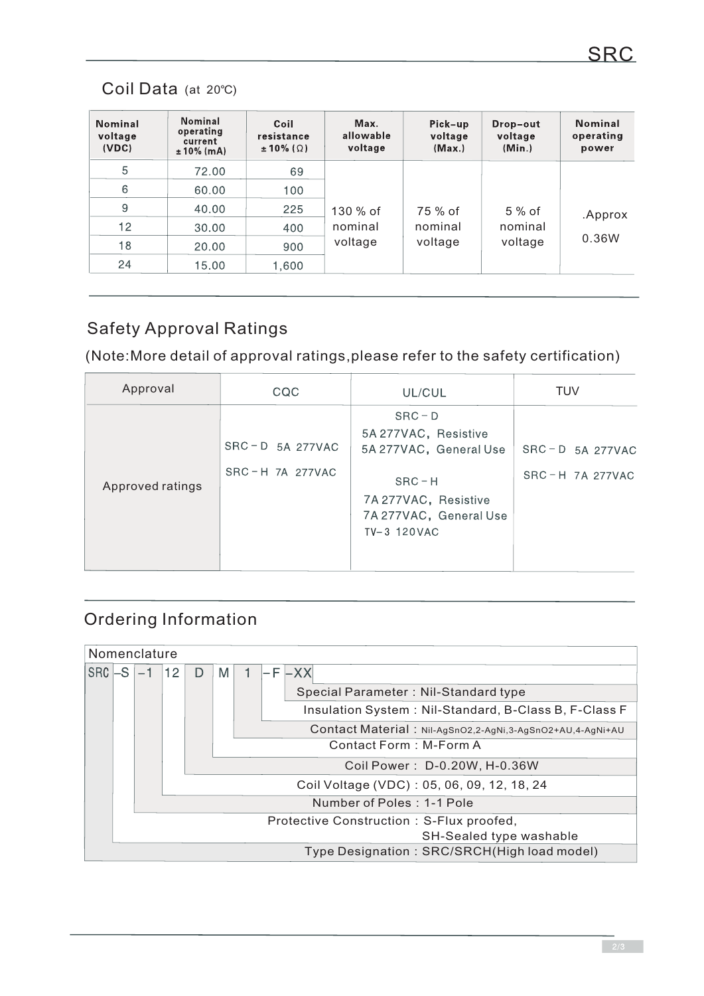# Coil Data (at 20℃)

| <b>Nominal</b><br>voltage<br>(VDC) | <b>Nominal</b><br>operating<br>current<br>$± 10\%$ (mA) | Coil<br>resistance<br>$\pm$ 10% ( $\Omega$ ) | Max.<br>allowable<br>voltage   | Pick-up<br>voltage<br>(Max.) | Drop-out<br>voltage<br>(Min.) | <b>Nominal</b><br>operating<br>power |         |
|------------------------------------|---------------------------------------------------------|----------------------------------------------|--------------------------------|------------------------------|-------------------------------|--------------------------------------|---------|
| 5                                  | 72.00                                                   | 69                                           | 130 % of<br>nominal<br>voltage |                              |                               |                                      |         |
| 6                                  | 60.00                                                   | 100                                          |                                |                              |                               |                                      |         |
| 9                                  | 40.00                                                   | 225                                          |                                |                              | 75 % of                       | $5%$ of                              | .Approx |
| 12                                 | 30.00                                                   | 400                                          |                                |                              | nominal                       | nominal                              |         |
| 18                                 | 20.00                                                   | 900                                          |                                | voltage                      | voltage                       | 0.36W                                |         |
| 24                                 | 15.00                                                   | 1,600                                        |                                |                              |                               |                                      |         |

# Safety Approval Ratings

(Note:More detail of approval ratings,please refer to the safety certification)

| Approval         | CQC                                    | UL/CUL                                                                                                                                  | <b>TUV</b>                             |
|------------------|----------------------------------------|-----------------------------------------------------------------------------------------------------------------------------------------|----------------------------------------|
| Approved ratings | $SRC - D$ 5A 277VAC<br>SRC-H 7A 277VAC | $SRC - D$<br>5A 277VAC, Resistive<br>5A 277VAC, General Use<br>$SRC-H$<br>7A 277VAC, Resistive<br>7A 277VAC, General Use<br>TV-3 120VAC | $SRC - D$ 5A 277VAC<br>SRC-H 7A 277VAC |

# Ordering Information